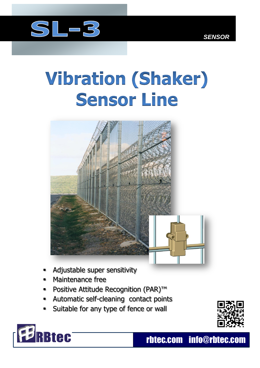

## **Vibration (Shaker) Sensor Line**



- Adjustable super sensitivity
- Maintenance free
- Positive Attitude Recognition (PAR)™
- Automatic self-cleaning contact points
- Suitable for any type of fence or wall